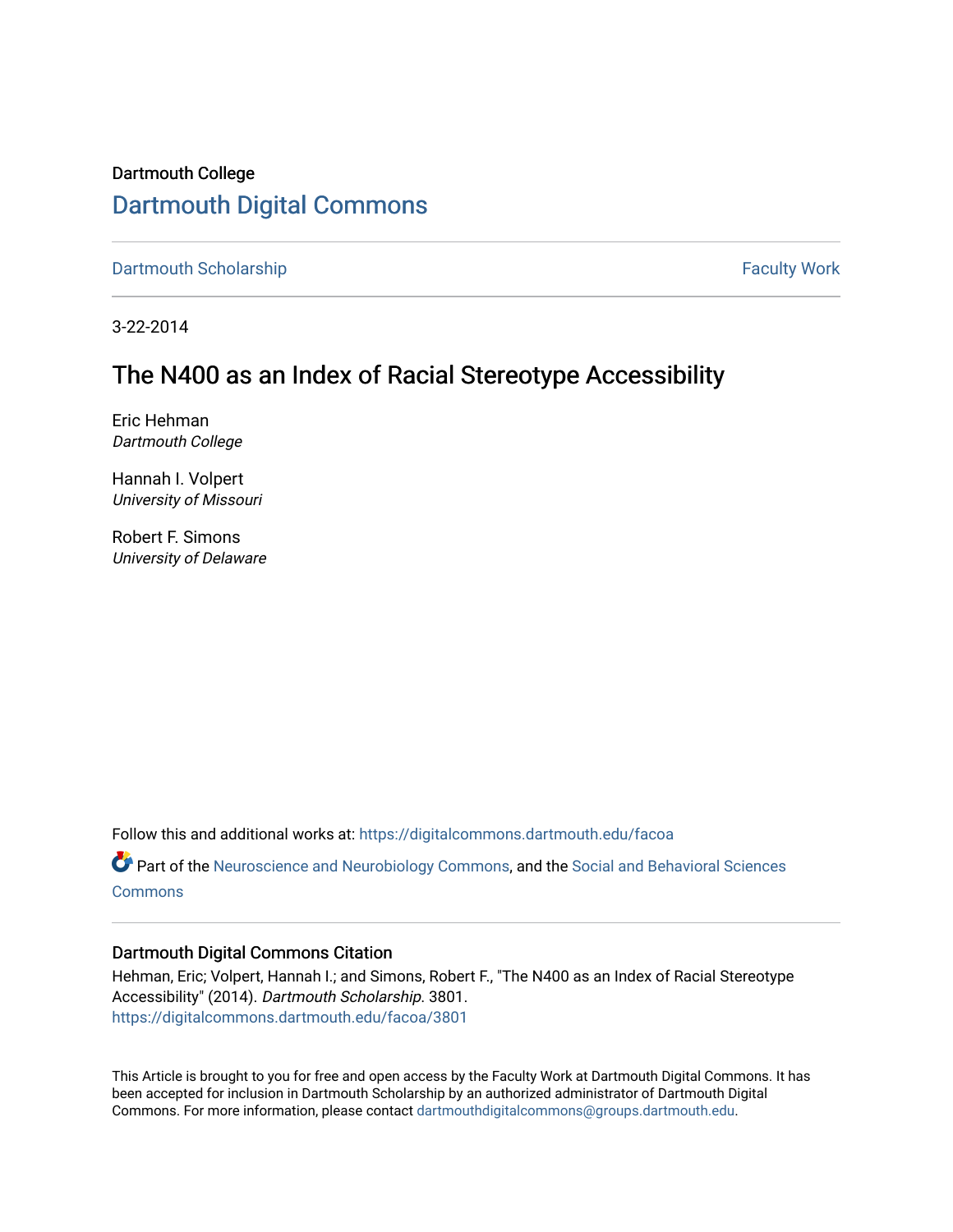# Dartmouth College [Dartmouth Digital Commons](https://digitalcommons.dartmouth.edu/)

[Dartmouth Scholarship](https://digitalcommons.dartmouth.edu/facoa) Faculty Work

3-22-2014

# The N400 as an Index of Racial Stereotype Accessibility

Eric Hehman Dartmouth College

Hannah I. Volpert University of Missouri

Robert F. Simons University of Delaware

Follow this and additional works at: [https://digitalcommons.dartmouth.edu/facoa](https://digitalcommons.dartmouth.edu/facoa?utm_source=digitalcommons.dartmouth.edu%2Ffacoa%2F3801&utm_medium=PDF&utm_campaign=PDFCoverPages)

Part of the [Neuroscience and Neurobiology Commons,](http://network.bepress.com/hgg/discipline/55?utm_source=digitalcommons.dartmouth.edu%2Ffacoa%2F3801&utm_medium=PDF&utm_campaign=PDFCoverPages) and the [Social and Behavioral Sciences](http://network.bepress.com/hgg/discipline/316?utm_source=digitalcommons.dartmouth.edu%2Ffacoa%2F3801&utm_medium=PDF&utm_campaign=PDFCoverPages) **[Commons](http://network.bepress.com/hgg/discipline/316?utm_source=digitalcommons.dartmouth.edu%2Ffacoa%2F3801&utm_medium=PDF&utm_campaign=PDFCoverPages)** 

# Dartmouth Digital Commons Citation

Hehman, Eric; Volpert, Hannah I.; and Simons, Robert F., "The N400 as an Index of Racial Stereotype Accessibility" (2014). Dartmouth Scholarship. 3801. [https://digitalcommons.dartmouth.edu/facoa/3801](https://digitalcommons.dartmouth.edu/facoa/3801?utm_source=digitalcommons.dartmouth.edu%2Ffacoa%2F3801&utm_medium=PDF&utm_campaign=PDFCoverPages) 

This Article is brought to you for free and open access by the Faculty Work at Dartmouth Digital Commons. It has been accepted for inclusion in Dartmouth Scholarship by an authorized administrator of Dartmouth Digital Commons. For more information, please contact [dartmouthdigitalcommons@groups.dartmouth.edu](mailto:dartmouthdigitalcommons@groups.dartmouth.edu).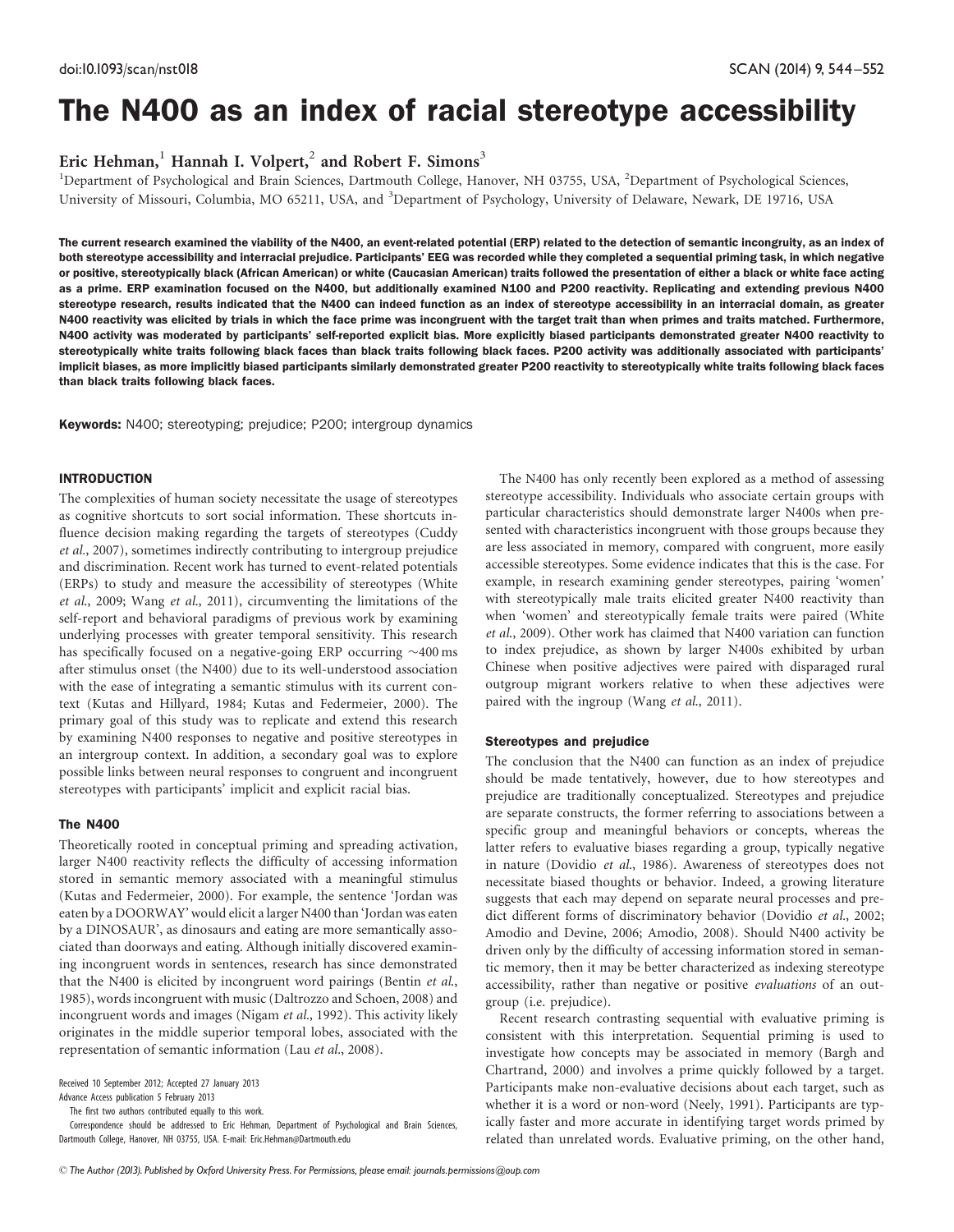# The N400 as an index of racial stereotype accessibility

Eric Hehman,<sup>1</sup> Hannah I. Volpert,<sup>2</sup> and Robert F. Simons<sup>3</sup>

<sup>1</sup>Department of Psychological and Brain Sciences, Dartmouth College, Hanover, NH 03755, USA, <sup>2</sup>Department of Psychological Sciences, University of Missouri, Columbia, MO 65211, USA, and <sup>3</sup>Department of Psychology, University of Delaware, Newark, DE 19716, USA

The current research examined the viability of the N400, an event-related potential (ERP) related to the detection of semantic incongruity, as an index of both stereotype accessibility and interracial prejudice. Participants' EEG was recorded while they completed a sequential priming task, in which negative or positive, stereotypically black (African American) or white (Caucasian American) traits followed the presentation of either a black or white face acting as a prime. ERP examination focused on the N400, but additionally examined N100 and P200 reactivity. Replicating and extending previous N400 stereotype research, results indicated that the N400 can indeed function as an index of stereotype accessibility in an interracial domain, as greater N400 reactivity was elicited by trials in which the face prime was incongruent with the target trait than when primes and traits matched. Furthermore, N400 activity was moderated by participants' self-reported explicit bias. More explicitly biased participants demonstrated greater N400 reactivity to stereotypically white traits following black faces than black traits following black faces. P200 activity was additionally associated with participants implicit biases, as more implicitly biased participants similarly demonstrated greater P200 reactivity to stereotypically white traits following black faces than black traits following black faces.

Keywords: N400; stereotyping; prejudice; P200; intergroup dynamics

#### INTRODUCTION

The complexities of human society necessitate the usage of stereotypes as cognitive shortcuts to sort social information. These shortcuts influence decision making regarding the targets of stereotypes ([Cuddy](#page-8-0) et al.[, 2007\)](#page-8-0), sometimes indirectly contributing to intergroup prejudice and discrimination. Recent work has turned to event-related potentials (ERPs) to study and measure the accessibility of stereotypes ([White](#page-9-0) et al[., 2009;](#page-9-0) Wang et al[., 2011](#page-9-0)), circumventing the limitations of the self-report and behavioral paradigms of previous work by examining underlying processes with greater temporal sensitivity. This research has specifically focused on a negative-going ERP occurring  $\sim$  400 ms after stimulus onset (the N400) due to its well-understood association with the ease of integrating a semantic stimulus with its current context [\(Kutas and Hillyard, 1984; Kutas and Federmeier, 2000\)](#page-9-0). The primary goal of this study was to replicate and extend this research by examining N400 responses to negative and positive stereotypes in an intergroup context. In addition, a secondary goal was to explore possible links between neural responses to congruent and incongruent stereotypes with participants' implicit and explicit racial bias.

## The N400

Theoretically rooted in conceptual priming and spreading activation, larger N400 reactivity reflects the difficulty of accessing information stored in semantic memory associated with a meaningful stimulus [\(Kutas and Federmeier, 2000](#page-9-0)). For example, the sentence 'Jordan was eaten by a DOORWAY' would elicit a larger N400 than 'Jordan was eaten by a DINOSAUR', as dinosaurs and eating are more semantically associated than doorways and eating. Although initially discovered examining incongruent words in sentences, research has since demonstrated that the N400 is elicited by incongruent word pairings ([Bentin](#page-8-0) [et al](#page-8-0)., [1985](#page-8-0)), words incongruent with music [\(Daltrozzo and Schoen, 2008](#page-9-0)) and incongruent words and images ([Nigam](#page-9-0) et al.[, 1992](#page-9-0)). This activity likely originates in the middle superior temporal lobes, associated with the representation of semantic information ([Lau](#page-9-0) et al.[, 2008](#page-9-0)).

Received 10 September 2012; Accepted 27 January 2013

Advance Access publication 5 February 2013

The first two authors contributed equally to this work.

Correspondence should be addressed to Eric Hehman, Department of Psychological and Brain Sciences, Dartmouth College, Hanover, NH 03755, USA. E-mail: Eric.Hehman@Dartmouth.edu

The N400 has only recently been explored as a method of assessing stereotype accessibility. Individuals who associate certain groups with particular characteristics should demonstrate larger N400s when presented with characteristics incongruent with those groups because they are less associated in memory, compared with congruent, more easily accessible stereotypes. Some evidence indicates that this is the case. For example, in research examining gender stereotypes, pairing 'women' with stereotypically male traits elicited greater N400 reactivity than when 'women' and stereotypically female traits were paired ([White](#page-9-0) et al[., 2009\)](#page-9-0). Other work has claimed that N400 variation can function to index prejudice, as shown by larger N400s exhibited by urban Chinese when positive adjectives were paired with disparaged rural outgroup migrant workers relative to when these adjectives were paired with the ingroup (Wang et al[., 2011\)](#page-9-0).

#### Stereotypes and prejudice

The conclusion that the N400 can function as an index of prejudice should be made tentatively, however, due to how stereotypes and prejudice are traditionally conceptualized. Stereotypes and prejudice are separate constructs, the former referring to associations between a specific group and meaningful behaviors or concepts, whereas the latter refers to evaluative biases regarding a group, typically negative in nature ([Dovidio](#page-9-0) et al[., 1986](#page-9-0)). Awareness of stereotypes does not necessitate biased thoughts or behavior. Indeed, a growing literature suggests that each may depend on separate neural processes and predict different forms of discriminatory behavior [\(Dovidio](#page-9-0) et al., 2002; [Amodio and Devine, 2006](#page-8-0); [Amodio, 2008\)](#page-8-0). Should N400 activity be driven only by the difficulty of accessing information stored in semantic memory, then it may be better characterized as indexing stereotype accessibility, rather than negative or positive evaluations of an outgroup (i.e. prejudice).

Recent research contrasting sequential with evaluative priming is consistent with this interpretation. Sequential priming is used to investigate how concepts may be associated in memory [\(Bargh and](#page-8-0) [Chartrand, 2000](#page-8-0)) and involves a prime quickly followed by a target. Participants make non-evaluative decisions about each target, such as whether it is a word or non-word [\(Neely, 1991\)](#page-9-0). Participants are typically faster and more accurate in identifying target words primed by related than unrelated words. Evaluative priming, on the other hand,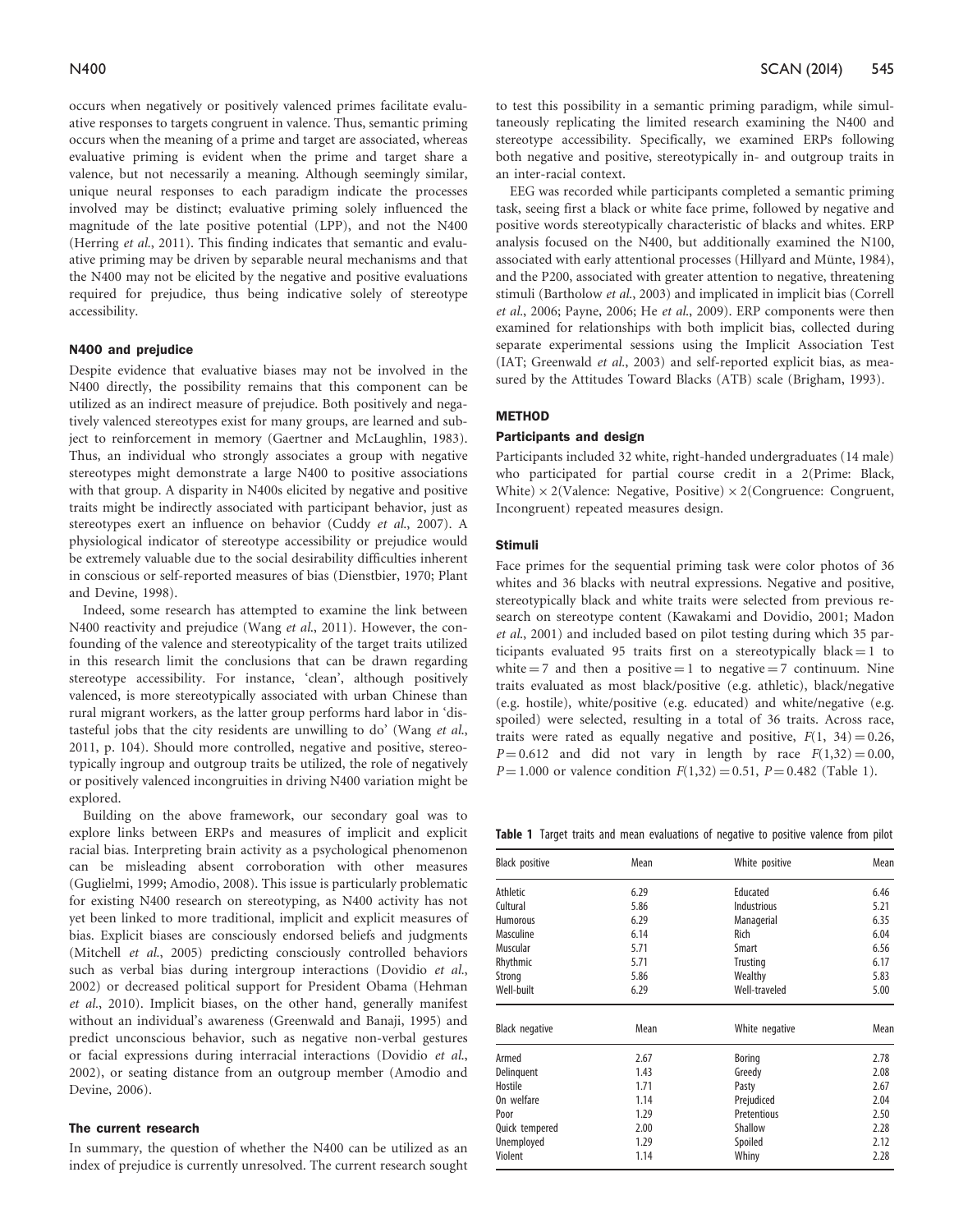occurs when negatively or positively valenced primes facilitate evaluative responses to targets congruent in valence. Thus, semantic priming occurs when the meaning of a prime and target are associated, whereas evaluative priming is evident when the prime and target share a valence, but not necessarily a meaning. Although seemingly similar, unique neural responses to each paradigm indicate the processes involved may be distinct; evaluative priming solely influenced the magnitude of the late positive potential (LPP), and not the N400 ([Herring](#page-9-0) et al.[, 2011](#page-9-0)). This finding indicates that semantic and evaluative priming may be driven by separable neural mechanisms and that the N400 may not be elicited by the negative and positive evaluations required for prejudice, thus being indicative solely of stereotype accessibility.

#### N400 and prejudice

Despite evidence that evaluative biases may not be involved in the N400 directly, the possibility remains that this component can be utilized as an indirect measure of prejudice. Both positively and negatively valenced stereotypes exist for many groups, are learned and subject to reinforcement in memory [\(Gaertner and McLaughlin, 1983\)](#page-9-0). Thus, an individual who strongly associates a group with negative stereotypes might demonstrate a large N400 to positive associations with that group. A disparity in N400s elicited by negative and positive traits might be indirectly associated with participant behavior, just as stereotypes exert an influence on behavior (Cuddy et al[., 2007\)](#page-8-0). A physiological indicator of stereotype accessibility or prejudice would be extremely valuable due to the social desirability difficulties inherent in conscious or self-reported measures of bias [\(Dienstbier, 1970; Plant](#page-9-0) [and Devine, 1998\)](#page-9-0).

Indeed, some research has attempted to examine the link between N400 reactivity and prejudice (Wang et al[., 2011\)](#page-9-0). However, the confounding of the valence and stereotypicality of the target traits utilized in this research limit the conclusions that can be drawn regarding stereotype accessibility. For instance, 'clean', although positively valenced, is more stereotypically associated with urban Chinese than rural migrant workers, as the latter group performs hard labor in 'distasteful jobs that the city residents are unwilling to do' ([Wang](#page-9-0) et al., [2011,](#page-9-0) p. 104). Should more controlled, negative and positive, stereotypically ingroup and outgroup traits be utilized, the role of negatively or positively valenced incongruities in driving N400 variation might be explored.

Building on the above framework, our secondary goal was to explore links between ERPs and measures of implicit and explicit racial bias. Interpreting brain activity as a psychological phenomenon can be misleading absent corroboration with other measures ([Guglielmi, 1999;](#page-9-0) [Amodio, 2008](#page-8-0)). This issue is particularly problematic for existing N400 research on stereotyping, as N400 activity has not yet been linked to more traditional, implicit and explicit measures of bias. Explicit biases are consciously endorsed beliefs and judgments ([Mitchell](#page-9-0) et al.[, 2005\)](#page-9-0) predicting consciously controlled behaviors such as verbal bias during intergroup interactions ([Dovidio](#page-9-0) [et al.](#page-9-0), [2002\)](#page-9-0) or decreased political support for President Obama ([Hehman](#page-9-0) et al.[, 2010\)](#page-9-0). Implicit biases, on the other hand, generally manifest without an individual's awareness [\(Greenwald and Banaji, 1995](#page-9-0)) and predict unconscious behavior, such as negative non-verbal gestures or facial expressions during interracial interactions [\(Dovidio](#page-9-0) et al., [2002\)](#page-9-0), or seating distance from an outgroup member [\(Amodio and](#page-8-0) [Devine, 2006](#page-8-0)).

#### The current research

In summary, the question of whether the N400 can be utilized as an index of prejudice is currently unresolved. The current research sought to test this possibility in a semantic priming paradigm, while simultaneously replicating the limited research examining the N400 and stereotype accessibility. Specifically, we examined ERPs following both negative and positive, stereotypically in- and outgroup traits in an inter-racial context.

EEG was recorded while participants completed a semantic priming task, seeing first a black or white face prime, followed by negative and positive words stereotypically characteristic of blacks and whites. ERP analysis focused on the N400, but additionally examined the N100, associated with early attentional processes (Hillyard and Münte, 1984), and the P200, associated with greater attention to negative, threatening stimuli [\(Bartholow](#page-8-0) et al.[, 2003\)](#page-8-0) and implicated in implicit bias [\(Correll](#page-8-0) et al.[, 2006](#page-8-0); [Payne, 2006;](#page-9-0) He et al[., 2009\)](#page-9-0). ERP components were then examined for relationships with both implicit bias, collected during separate experimental sessions using the Implicit Association Test (IAT; [Greenwald](#page-9-0) et al., 2003) and self-reported explicit bias, as measured by the Attitudes Toward Blacks (ATB) scale [\(Brigham, 1993\)](#page-8-0).

# METHOD

#### Participants and design

Participants included 32 white, right-handed undergraduates (14 male) who participated for partial course credit in a 2(Prime: Black, White)  $\times$  2(Valence: Negative, Positive)  $\times$  2(Congruence: Congruent, Incongruent) repeated measures design.

#### Stimuli

Face primes for the sequential priming task were color photos of 36 whites and 36 blacks with neutral expressions. Negative and positive, stereotypically black and white traits were selected from previous research on stereotype content ([Kawakami and Dovidio, 2001](#page-9-0); [Madon](#page-9-0) et al[., 2001](#page-9-0)) and included based on pilot testing during which 35 participants evaluated 95 traits first on a stereotypically black  $= 1$  to white  $= 7$  and then a positive  $= 1$  to negative  $= 7$  continuum. Nine traits evaluated as most black/positive (e.g. athletic), black/negative (e.g. hostile), white/positive (e.g. educated) and white/negative (e.g. spoiled) were selected, resulting in a total of 36 traits. Across race, traits were rated as equally negative and positive,  $F(1, 34) = 0.26$ ,  $P = 0.612$  and did not vary in length by race  $F(1,32) = 0.00$ ,  $P = 1.000$  or valence condition  $F(1,32) = 0.51$ ,  $P = 0.482$  (Table 1).

Table 1 Target traits and mean evaluations of negative to positive valence from pilot

| Black positive        | Mean | White positive  | Mean |
|-----------------------|------|-----------------|------|
| Athletic              | 6.29 | Educated        | 6.46 |
| Cultural              | 5.86 | Industrious     | 5.21 |
| <b>Humorous</b>       | 6.29 | Managerial      | 6.35 |
| Masculine             | 6.14 | Rich            | 6.04 |
| Muscular              | 5.71 | Smart           | 6.56 |
| Rhythmic              | 5.71 | <b>Trusting</b> | 6.17 |
| Strong                | 5.86 | Wealthy         | 5.83 |
| Well-built            | 6.29 | Well-traveled   | 5.00 |
| <b>Black negative</b> | Mean | White negative  | Mean |
| Armed                 | 2.67 | Boring          | 2.78 |
| Delinquent            | 1.43 | Greedy          | 2.08 |
| Hostile               | 1.71 | Pasty           | 2.67 |
| On welfare            | 1.14 | Prejudiced      | 2.04 |
| Poor                  | 1.29 | Pretentious     | 2.50 |
| Quick tempered        | 2.00 | Shallow         | 2.28 |
| Unemployed            | 1.29 | Spoiled         | 2.12 |
| Violent               | 1.14 | Whiny           | 2.28 |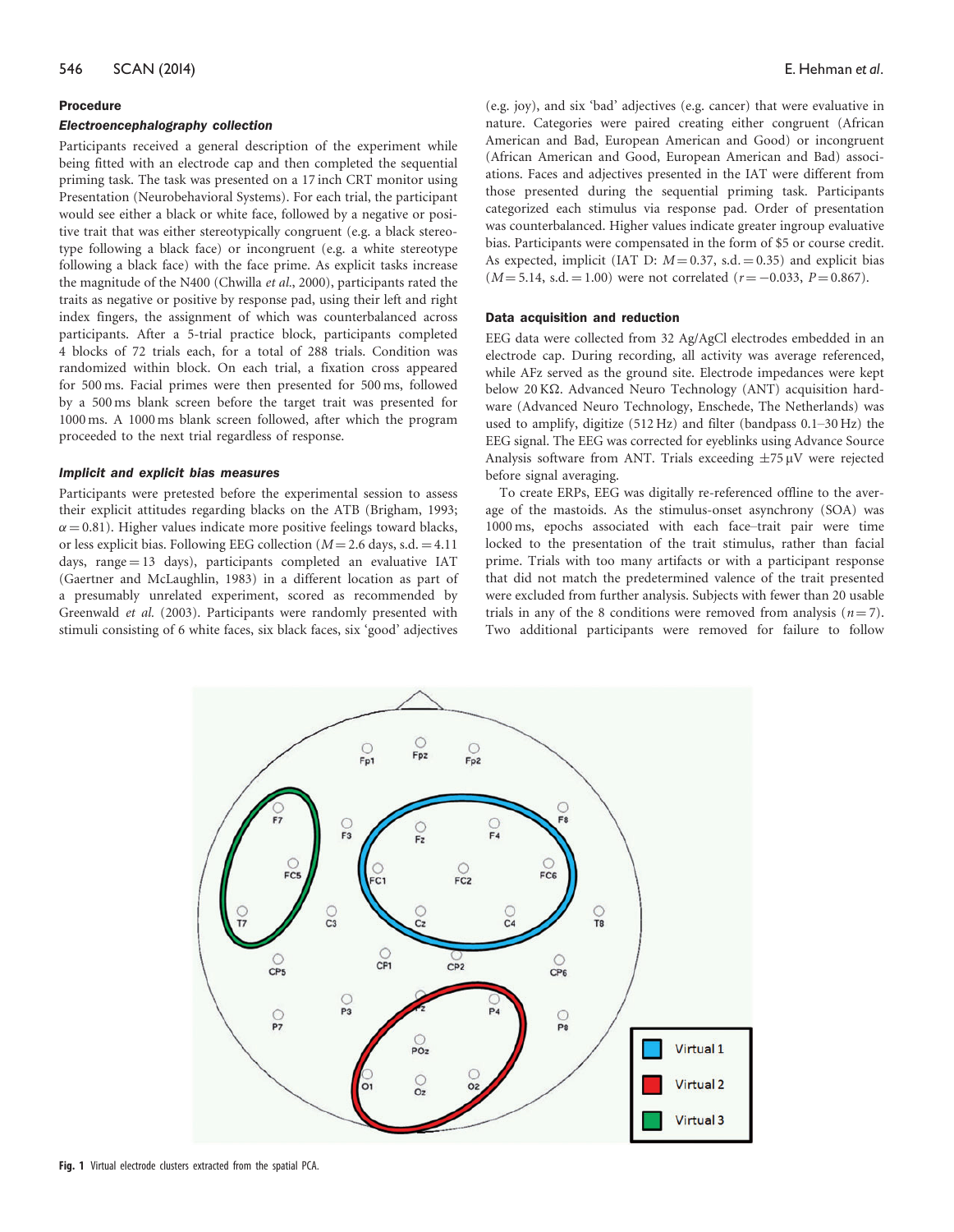#### Procedure

#### Electroencephalography collection

Participants received a general description of the experiment while being fitted with an electrode cap and then completed the sequential priming task. The task was presented on a 17 inch CRT monitor using Presentation (Neurobehavioral Systems). For each trial, the participant would see either a black or white face, followed by a negative or positive trait that was either stereotypically congruent (e.g. a black stereotype following a black face) or incongruent (e.g. a white stereotype following a black face) with the face prime. As explicit tasks increase the magnitude of the N400 ([Chwilla](#page-8-0) et al.[, 2000](#page-8-0)), participants rated the traits as negative or positive by response pad, using their left and right index fingers, the assignment of which was counterbalanced across participants. After a 5-trial practice block, participants completed 4 blocks of 72 trials each, for a total of 288 trials. Condition was randomized within block. On each trial, a fixation cross appeared for 500 ms. Facial primes were then presented for 500 ms, followed by a 500 ms blank screen before the target trait was presented for 1000 ms. A 1000 ms blank screen followed, after which the program proceeded to the next trial regardless of response.

#### Implicit and explicit bias measures

Participants were pretested before the experimental session to assess their explicit attitudes regarding blacks on the ATB ([Brigham, 1993;](#page-8-0)  $\alpha$  = 0.81). Higher values indicate more positive feelings toward blacks, or less explicit bias. Following EEG collection ( $M = 2.6$  days, s.d.  $= 4.11$ ) days,  $range = 13$  days), participants completed an evaluative IAT [\(Gaertner and McLaughlin, 1983\)](#page-9-0) in a different location as part of a presumably unrelated experiment, scored as recommended by [Greenwald](#page-9-0) et al. [\(2003\).](#page-9-0) Participants were randomly presented with stimuli consisting of 6 white faces, six black faces, six 'good' adjectives (e.g. joy), and six 'bad' adjectives (e.g. cancer) that were evaluative in nature. Categories were paired creating either congruent (African American and Bad, European American and Good) or incongruent (African American and Good, European American and Bad) associations. Faces and adjectives presented in the IAT were different from those presented during the sequential priming task. Participants categorized each stimulus via response pad. Order of presentation was counterbalanced. Higher values indicate greater ingroup evaluative bias. Participants were compensated in the form of \$5 or course credit. As expected, implicit (IAT D:  $M = 0.37$ , s.d.  $= 0.35$ ) and explicit bias  $(M = 5.14, s.d. = 1.00)$  were not correlated  $(r = -0.033, P = 0.867)$ .

#### Data acquisition and reduction

EEG data were collected from 32 Ag/AgCl electrodes embedded in an electrode cap. During recording, all activity was average referenced, while AFz served as the ground site. Electrode impedances were kept below 20 KΩ. Advanced Neuro Technology (ANT) acquisition hardware (Advanced Neuro Technology, Enschede, The Netherlands) was used to amplify, digitize (512 Hz) and filter (bandpass 0.1–30 Hz) the EEG signal. The EEG was corrected for eyeblinks using Advance Source Analysis software from ANT. Trials exceeding  $\pm 75 \mu$ V were rejected before signal averaging.

To create ERPs, EEG was digitally re-referenced offline to the average of the mastoids. As the stimulus-onset asynchrony (SOA) was 1000 ms, epochs associated with each face–trait pair were time locked to the presentation of the trait stimulus, rather than facial prime. Trials with too many artifacts or with a participant response that did not match the predetermined valence of the trait presented were excluded from further analysis. Subjects with fewer than 20 usable trials in any of the 8 conditions were removed from analysis  $(n = 7)$ . Two additional participants were removed for failure to follow

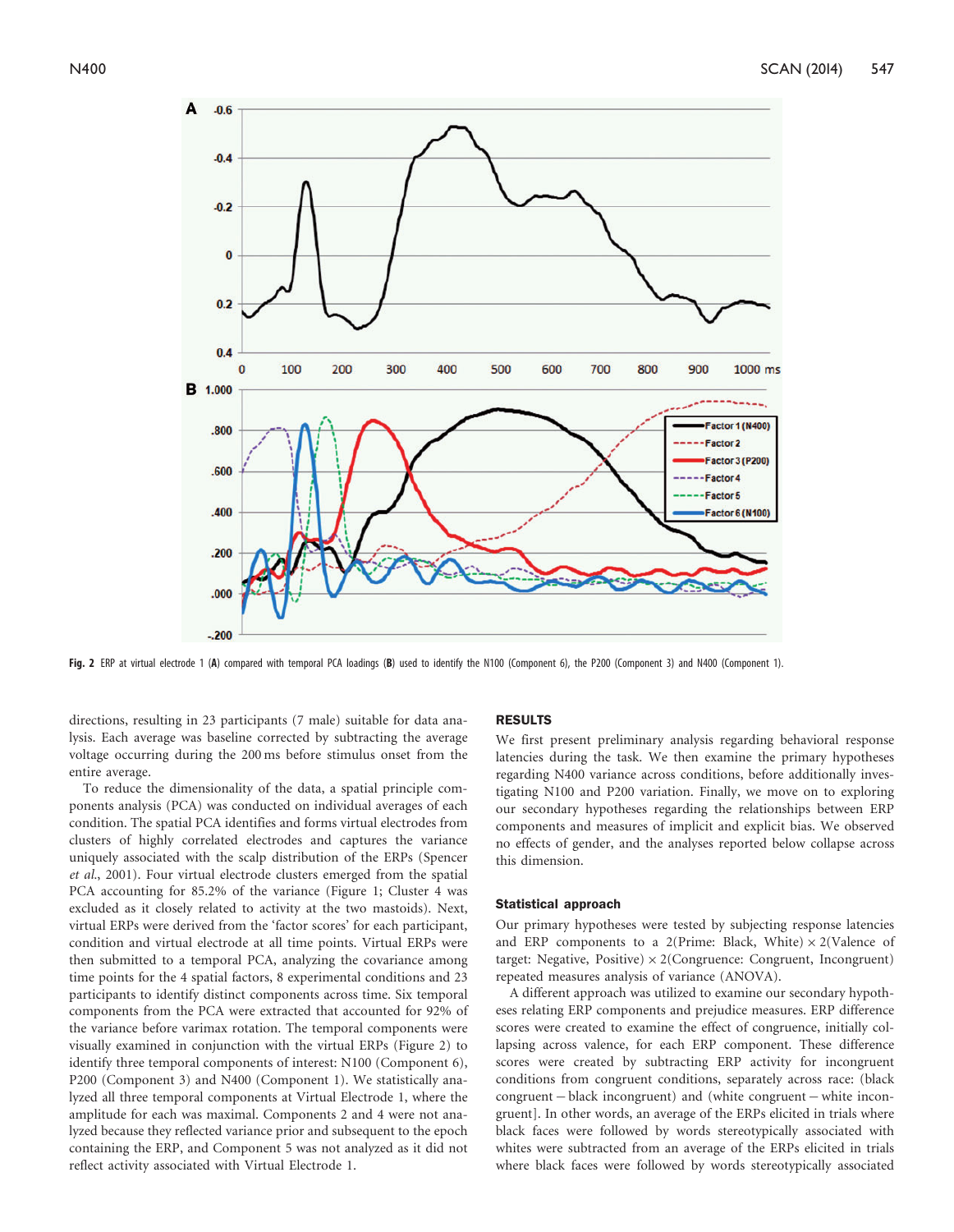

Fig. 2 ERP at virtual electrode 1 (A) compared with temporal PCA loadings (B) used to identify the N100 (Component 6), the P200 (Component 3) and N400 (Component 1).

directions, resulting in 23 participants (7 male) suitable for data analysis. Each average was baseline corrected by subtracting the average voltage occurring during the 200 ms before stimulus onset from the entire average.

To reduce the dimensionality of the data, a spatial principle components analysis (PCA) was conducted on individual averages of each condition. The spatial PCA identifies and forms virtual electrodes from clusters of highly correlated electrodes and captures the variance uniquely associated with the scalp distribution of the ERPs ([Spencer](#page-9-0) et al.[, 2001\)](#page-9-0). Four virtual electrode clusters emerged from the spatial PCA accounting for 85.2% of the variance (Figure 1; Cluster 4 was excluded as it closely related to activity at the two mastoids). Next, virtual ERPs were derived from the 'factor scores' for each participant, condition and virtual electrode at all time points. Virtual ERPs were then submitted to a temporal PCA, analyzing the covariance among time points for the 4 spatial factors, 8 experimental conditions and 23 participants to identify distinct components across time. Six temporal components from the PCA were extracted that accounted for 92% of the variance before varimax rotation. The temporal components were visually examined in conjunction with the virtual ERPs (Figure 2) to identify three temporal components of interest: N100 (Component 6), P200 (Component 3) and N400 (Component 1). We statistically analyzed all three temporal components at Virtual Electrode 1, where the amplitude for each was maximal. Components 2 and 4 were not analyzed because they reflected variance prior and subsequent to the epoch containing the ERP, and Component 5 was not analyzed as it did not reflect activity associated with Virtual Electrode 1.

#### RESULTS

We first present preliminary analysis regarding behavioral response latencies during the task. We then examine the primary hypotheses regarding N400 variance across conditions, before additionally investigating N100 and P200 variation. Finally, we move on to exploring our secondary hypotheses regarding the relationships between ERP components and measures of implicit and explicit bias. We observed no effects of gender, and the analyses reported below collapse across this dimension.

#### Statistical approach

Our primary hypotheses were tested by subjecting response latencies and ERP components to a 2(Prime: Black, White)  $\times$  2(Valence of target: Negative, Positive)  $\times$  2(Congruence: Congruent, Incongruent) repeated measures analysis of variance (ANOVA).

A different approach was utilized to examine our secondary hypotheses relating ERP components and prejudice measures. ERP difference scores were created to examine the effect of congruence, initially collapsing across valence, for each ERP component. These difference scores were created by subtracting ERP activity for incongruent conditions from congruent conditions, separately across race: (black  $congruent - black incongruent)$  and (white congruent  $-$  white incongruent]. In other words, an average of the ERPs elicited in trials where black faces were followed by words stereotypically associated with whites were subtracted from an average of the ERPs elicited in trials where black faces were followed by words stereotypically associated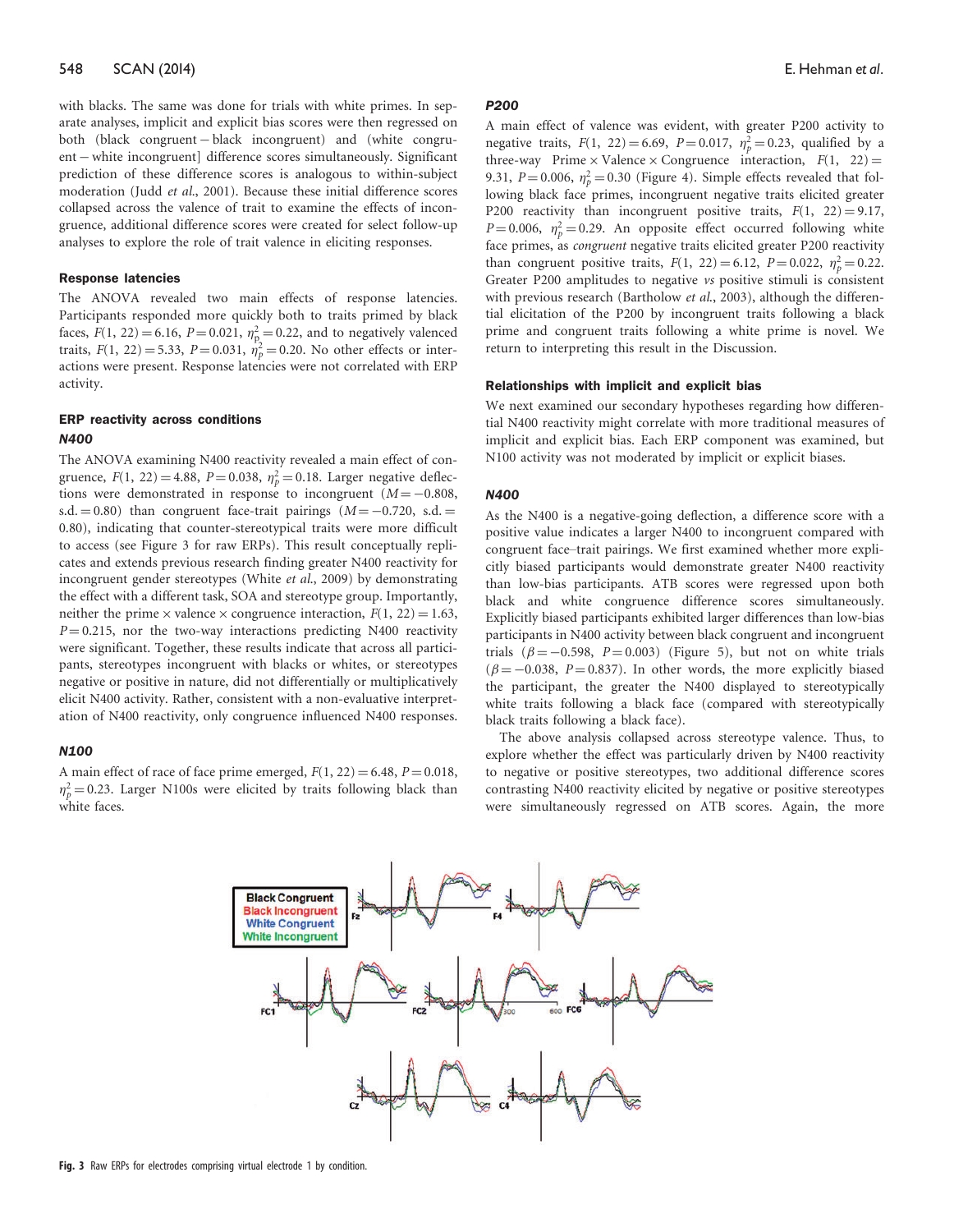with blacks. The same was done for trials with white primes. In separate analyses, implicit and explicit bias scores were then regressed on both (black congruent – black incongruent) and (white congruent – white incongruent] difference scores simultaneously. Significant prediction of these difference scores is analogous to within-subject moderation ([Judd](#page-9-0) et al.[, 2001\)](#page-9-0). Because these initial difference scores collapsed across the valence of trait to examine the effects of incongruence, additional difference scores were created for select follow-up analyses to explore the role of trait valence in eliciting responses.

#### Response latencies

The ANOVA revealed two main effects of response latencies. Participants responded more quickly both to traits primed by black faces,  $F(1, 22) = 6.16$ ,  $P = 0.021$ ,  $\eta_p^2 = 0.22$ , and to negatively valenced traits,  $F(1, 22) = 5.33$ ,  $P = 0.031$ ,  $\dot{\eta}_p^2 = 0.20$ . No other effects or interactions were present. Response latencies were not correlated with ERP activity.

# ERP reactivity across conditions N400

The ANOVA examining N400 reactivity revealed a main effect of congruence,  $F(1, 22) = 4.88$ ,  $P = 0.038$ ,  $\eta_p^2 = 0.18$ . Larger negative deflections were demonstrated in response to incongruent  $(M = -0.808,$ s.d.  $= 0.80$ ) than congruent face-trait pairings ( $M = -0.720$ , s.d.  $=$ 0.80), indicating that counter-stereotypical traits were more difficult to access (see Figure 3 for raw ERPs). This result conceptually replicates and extends previous research finding greater N400 reactivity for incongruent gender stereotypes (White et al[., 2009](#page-9-0)) by demonstrating the effect with a different task, SOA and stereotype group. Importantly, neither the prime  $\times$  valence  $\times$  congruence interaction,  $F(1, 22) = 1.63$ ,  $P = 0.215$ , nor the two-way interactions predicting N400 reactivity were significant. Together, these results indicate that across all participants, stereotypes incongruent with blacks or whites, or stereotypes negative or positive in nature, did not differentially or multiplicatively elicit N400 activity. Rather, consistent with a non-evaluative interpretation of N400 reactivity, only congruence influenced N400 responses.

#### N100

A main effect of race of face prime emerged,  $F(1, 22) = 6.48$ ,  $P = 0.018$ ,  $\eta_p^2 = 0.23$ . Larger N100s were elicited by traits following black than white faces.

#### **P200**

A main effect of valence was evident, with greater P200 activity to negative traits,  $F(1, 22) = 6.69$ ,  $P = 0.017$ ,  $\eta_p^2 = 0.23$ , qualified by a three-way Prime  $\times$  Valence  $\times$  Congruence interaction,  $F(1, 22) =$ 9.31,  $P = 0.006$ ,  $\eta_p^2 = 0.30$  (Figure 4). Simple effects revealed that following black face primes, incongruent negative traits elicited greater P200 reactivity than incongruent positive traits,  $F(1, 22) = 9.17$ ,  $P = 0.006$ ,  $\eta_p^2 = 0.29$ . An opposite effect occurred following white face primes, as congruent negative traits elicited greater P200 reactivity than congruent positive traits,  $F(1, 22) = 6.12$ ,  $P = 0.022$ ,  $\eta_p^2 = 0.22$ . Greater P200 amplitudes to negative vs positive stimuli is consistent with previous research ([Bartholow](#page-8-0) et al., 2003), although the differential elicitation of the P200 by incongruent traits following a black prime and congruent traits following a white prime is novel. We return to interpreting this result in the Discussion.

#### Relationships with implicit and explicit bias

We next examined our secondary hypotheses regarding how differential N400 reactivity might correlate with more traditional measures of implicit and explicit bias. Each ERP component was examined, but N100 activity was not moderated by implicit or explicit biases.

#### N400

As the N400 is a negative-going deflection, a difference score with a positive value indicates a larger N400 to incongruent compared with congruent face–trait pairings. We first examined whether more explicitly biased participants would demonstrate greater N400 reactivity than low-bias participants. ATB scores were regressed upon both black and white congruence difference scores simultaneously. Explicitly biased participants exhibited larger differences than low-bias participants in N400 activity between black congruent and incongruent trials  $(\beta = -0.598, P = 0.003)$  (Figure 5), but not on white trials  $(\beta = -0.038, P = 0.837)$ . In other words, the more explicitly biased the participant, the greater the N400 displayed to stereotypically white traits following a black face (compared with stereotypically black traits following a black face).

The above analysis collapsed across stereotype valence. Thus, to explore whether the effect was particularly driven by N400 reactivity to negative or positive stereotypes, two additional difference scores contrasting N400 reactivity elicited by negative or positive stereotypes were simultaneously regressed on ATB scores. Again, the more

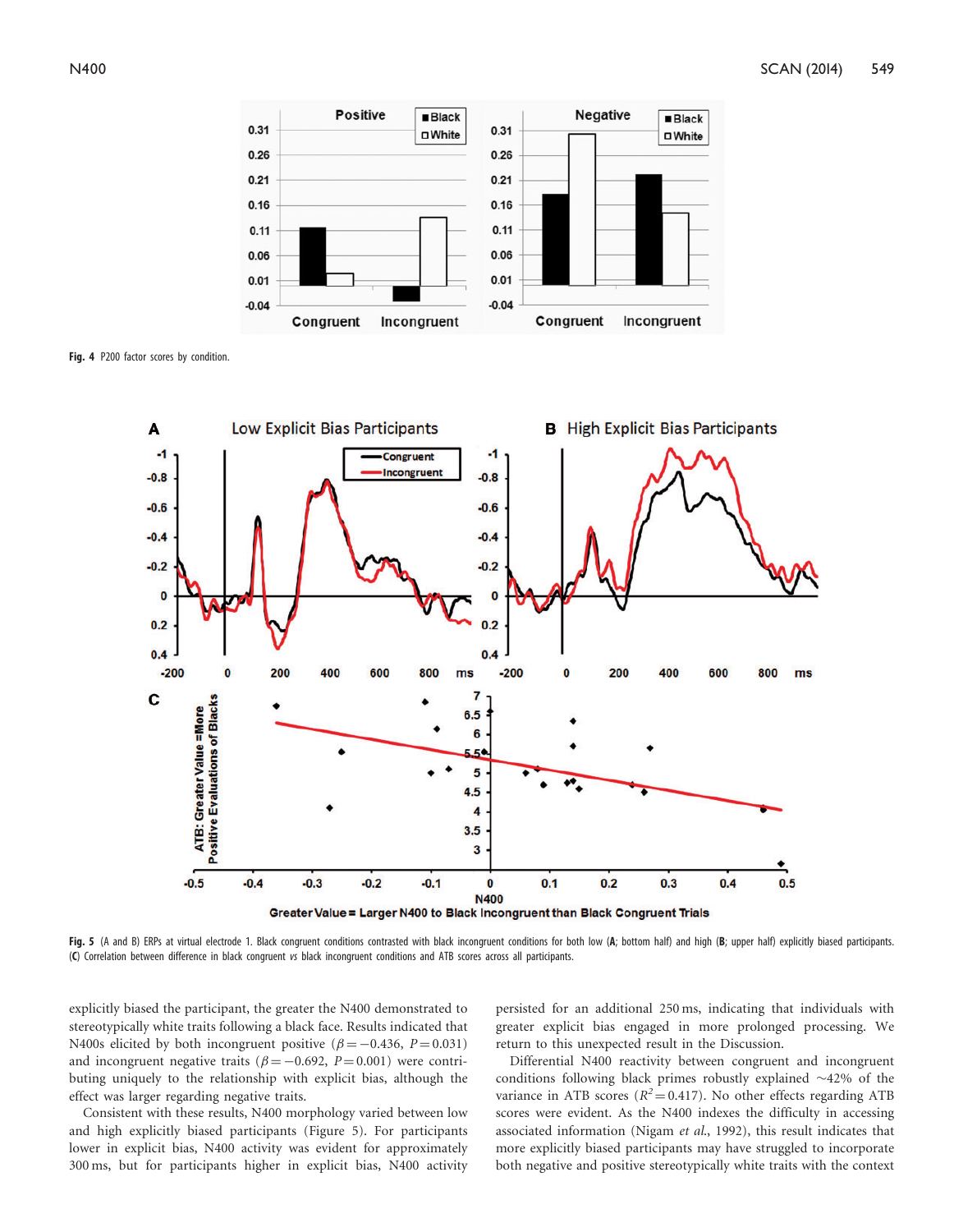

Fig. 4 P200 factor scores by condition.



Fig. 5 (A and B) ERPs at virtual electrode 1. Black congruent conditions contrasted with black incongruent conditions for both low (A; bottom half) and high (B; upper half) explicitly biased participants. (C) Correlation between difference in black congruent vs black incongruent conditions and ATB scores across all participants.

explicitly biased the participant, the greater the N400 demonstrated to stereotypically white traits following a black face. Results indicated that N400s elicited by both incongruent positive  $(\beta = -0.436, P = 0.031)$ and incongruent negative traits ( $\beta = -0.692$ ,  $P = 0.001$ ) were contributing uniquely to the relationship with explicit bias, although the effect was larger regarding negative traits.

Consistent with these results, N400 morphology varied between low and high explicitly biased participants (Figure 5). For participants lower in explicit bias, N400 activity was evident for approximately 300 ms, but for participants higher in explicit bias, N400 activity persisted for an additional 250 ms, indicating that individuals with greater explicit bias engaged in more prolonged processing. We return to this unexpected result in the Discussion.

Differential N400 reactivity between congruent and incongruent conditions following black primes robustly explained  $\sim$ 42% of the variance in ATB scores ( $R^2$  = 0.417). No other effects regarding ATB scores were evident. As the N400 indexes the difficulty in accessing associated information (Nigam et al[., 1992\)](#page-9-0), this result indicates that more explicitly biased participants may have struggled to incorporate both negative and positive stereotypically white traits with the context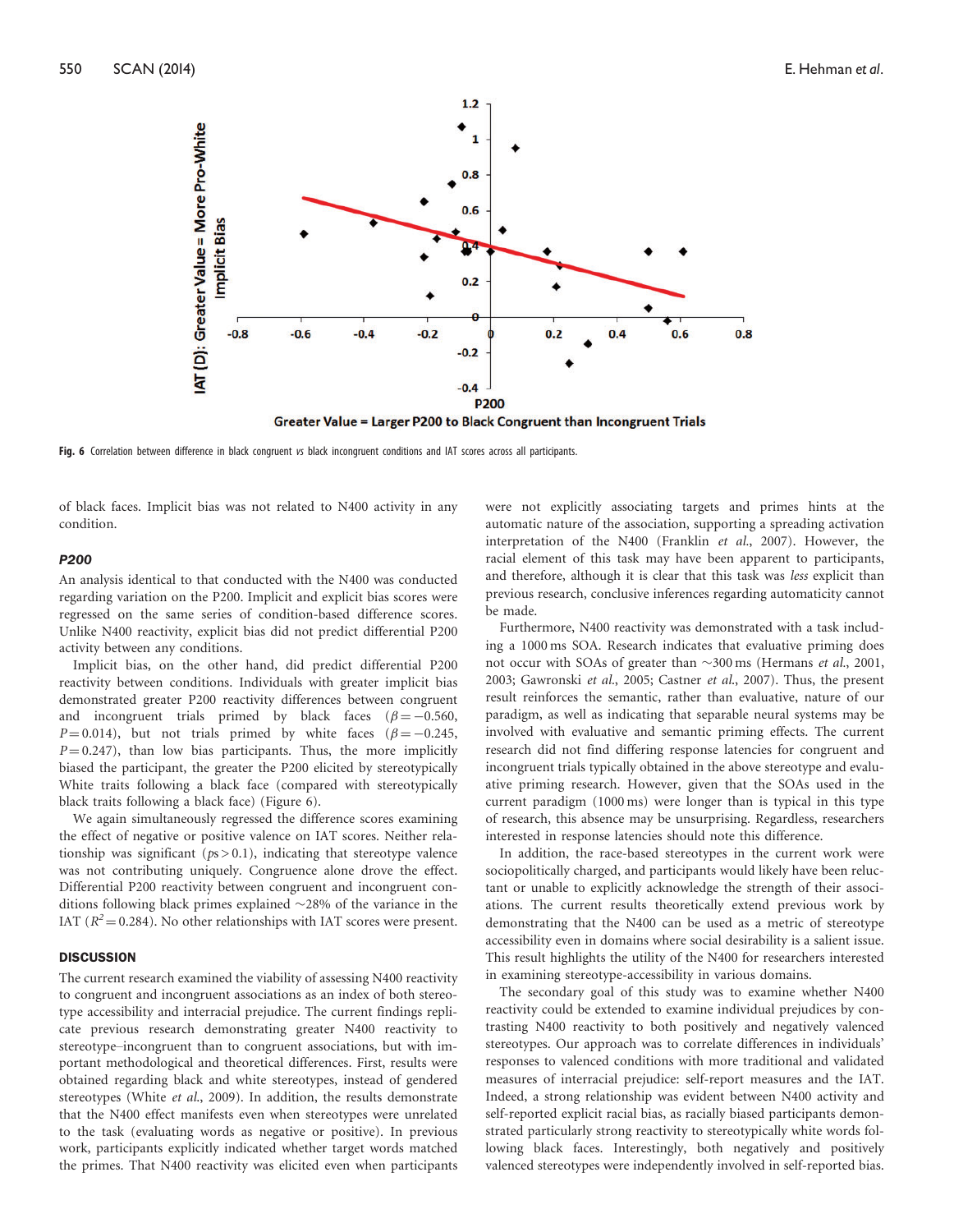

Greater Value = Larger P200 to Black Congruent than Incongruent Trials

Fig. 6 Correlation between difference in black congruent vs black incongruent conditions and IAT scores across all participants.

of black faces. Implicit bias was not related to N400 activity in any condition.

#### P200

An analysis identical to that conducted with the N400 was conducted regarding variation on the P200. Implicit and explicit bias scores were regressed on the same series of condition-based difference scores. Unlike N400 reactivity, explicit bias did not predict differential P200 activity between any conditions.

Implicit bias, on the other hand, did predict differential P200 reactivity between conditions. Individuals with greater implicit bias demonstrated greater P200 reactivity differences between congruent and incongruent trials primed by black faces ( $\beta = -0.560$ ,  $P = 0.014$ ), but not trials primed by white faces ( $\beta = -0.245$ ,  $P = 0.247$ , than low bias participants. Thus, the more implicitly biased the participant, the greater the P200 elicited by stereotypically White traits following a black face (compared with stereotypically black traits following a black face) (Figure 6).

We again simultaneously regressed the difference scores examining the effect of negative or positive valence on IAT scores. Neither relationship was significant ( $ps > 0.1$ ), indicating that stereotype valence was not contributing uniquely. Congruence alone drove the effect. Differential P200 reactivity between congruent and incongruent conditions following black primes explained  $\sim$ 28% of the variance in the IAT ( $R^2$  = 0.284). No other relationships with IAT scores were present.

#### **DISCUSSION**

The current research examined the viability of assessing N400 reactivity to congruent and incongruent associations as an index of both stereotype accessibility and interracial prejudice. The current findings replicate previous research demonstrating greater N400 reactivity to stereotype–incongruent than to congruent associations, but with important methodological and theoretical differences. First, results were obtained regarding black and white stereotypes, instead of gendered stereotypes (White et al[., 2009](#page-9-0)). In addition, the results demonstrate that the N400 effect manifests even when stereotypes were unrelated to the task (evaluating words as negative or positive). In previous work, participants explicitly indicated whether target words matched the primes. That N400 reactivity was elicited even when participants were not explicitly associating targets and primes hints at the automatic nature of the association, supporting a spreading activation interpretation of the N400 ([Franklin](#page-9-0) et al.[, 2007\)](#page-9-0). However, the racial element of this task may have been apparent to participants, and therefore, although it is clear that this task was less explicit than previous research, conclusive inferences regarding automaticity cannot be made.

Furthermore, N400 reactivity was demonstrated with a task including a 1000 ms SOA. Research indicates that evaluative priming does not occur with SOAs of greater than  $\sim$ 300 ms ([Hermans](#page-9-0) et al., 2001, [2003; Gawronski](#page-9-0) et al., 2005; [Castner](#page-8-0) et al., 2007). Thus, the present result reinforces the semantic, rather than evaluative, nature of our paradigm, as well as indicating that separable neural systems may be involved with evaluative and semantic priming effects. The current research did not find differing response latencies for congruent and incongruent trials typically obtained in the above stereotype and evaluative priming research. However, given that the SOAs used in the current paradigm (1000 ms) were longer than is typical in this type of research, this absence may be unsurprising. Regardless, researchers interested in response latencies should note this difference.

In addition, the race-based stereotypes in the current work were sociopolitically charged, and participants would likely have been reluctant or unable to explicitly acknowledge the strength of their associations. The current results theoretically extend previous work by demonstrating that the N400 can be used as a metric of stereotype accessibility even in domains where social desirability is a salient issue. This result highlights the utility of the N400 for researchers interested in examining stereotype-accessibility in various domains.

The secondary goal of this study was to examine whether N400 reactivity could be extended to examine individual prejudices by contrasting N400 reactivity to both positively and negatively valenced stereotypes. Our approach was to correlate differences in individuals' responses to valenced conditions with more traditional and validated measures of interracial prejudice: self-report measures and the IAT. Indeed, a strong relationship was evident between N400 activity and self-reported explicit racial bias, as racially biased participants demonstrated particularly strong reactivity to stereotypically white words following black faces. Interestingly, both negatively and positively valenced stereotypes were independently involved in self-reported bias.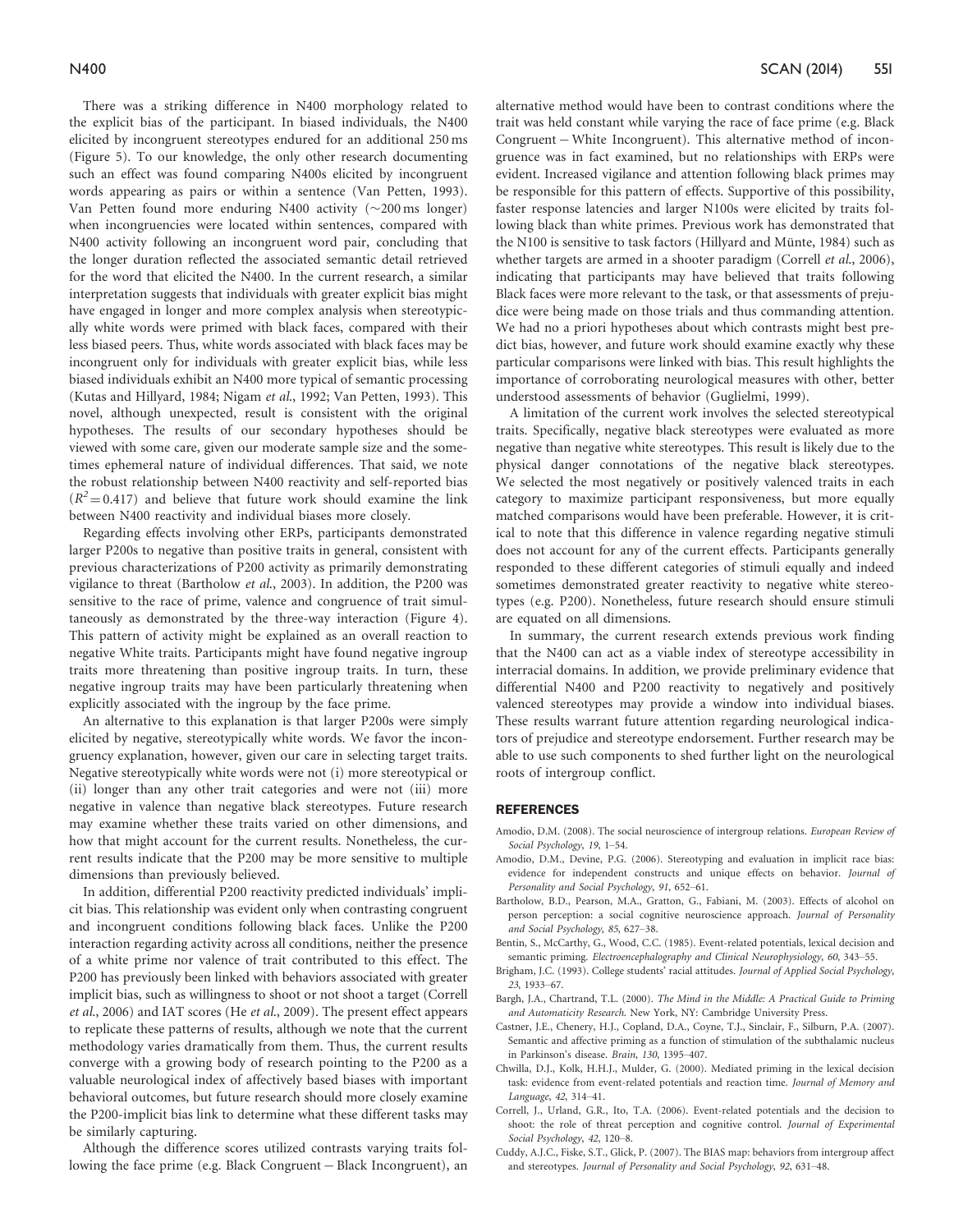<span id="page-8-0"></span>There was a striking difference in N400 morphology related to the explicit bias of the participant. In biased individuals, the N400 elicited by incongruent stereotypes endured for an additional 250 ms (Figure 5). To our knowledge, the only other research documenting such an effect was found comparing N400s elicited by incongruent words appearing as pairs or within a sentence [\(Van Petten, 1993\)](#page-9-0). Van Petten found more enduring N400 activity  $(\sim]200 \text{ ms}$  longer) when incongruencies were located within sentences, compared with N400 activity following an incongruent word pair, concluding that the longer duration reflected the associated semantic detail retrieved for the word that elicited the N400. In the current research, a similar interpretation suggests that individuals with greater explicit bias might have engaged in longer and more complex analysis when stereotypically white words were primed with black faces, compared with their less biased peers. Thus, white words associated with black faces may be incongruent only for individuals with greater explicit bias, while less biased individuals exhibit an N400 more typical of semantic processing ([Kutas and Hillyard, 1984; Nigam](#page-9-0) et al., 1992; [Van Petten, 1993\)](#page-9-0). This novel, although unexpected, result is consistent with the original hypotheses. The results of our secondary hypotheses should be viewed with some care, given our moderate sample size and the sometimes ephemeral nature of individual differences. That said, we note the robust relationship between N400 reactivity and self-reported bias  $(R^2 = 0.417)$  and believe that future work should examine the link between N400 reactivity and individual biases more closely.

Regarding effects involving other ERPs, participants demonstrated larger P200s to negative than positive traits in general, consistent with previous characterizations of P200 activity as primarily demonstrating vigilance to threat (Bartholow et al., 2003). In addition, the P200 was sensitive to the race of prime, valence and congruence of trait simultaneously as demonstrated by the three-way interaction (Figure 4). This pattern of activity might be explained as an overall reaction to negative White traits. Participants might have found negative ingroup traits more threatening than positive ingroup traits. In turn, these negative ingroup traits may have been particularly threatening when explicitly associated with the ingroup by the face prime.

An alternative to this explanation is that larger P200s were simply elicited by negative, stereotypically white words. We favor the incongruency explanation, however, given our care in selecting target traits. Negative stereotypically white words were not (i) more stereotypical or (ii) longer than any other trait categories and were not (iii) more negative in valence than negative black stereotypes. Future research may examine whether these traits varied on other dimensions, and how that might account for the current results. Nonetheless, the current results indicate that the P200 may be more sensitive to multiple dimensions than previously believed.

In addition, differential P200 reactivity predicted individuals' implicit bias. This relationship was evident only when contrasting congruent and incongruent conditions following black faces. Unlike the P200 interaction regarding activity across all conditions, neither the presence of a white prime nor valence of trait contributed to this effect. The P200 has previously been linked with behaviors associated with greater implicit bias, such as willingness to shoot or not shoot a target (Correll et al., 2006) and IAT scores (He et al[., 2009](#page-9-0)). The present effect appears to replicate these patterns of results, although we note that the current methodology varies dramatically from them. Thus, the current results converge with a growing body of research pointing to the P200 as a valuable neurological index of affectively based biases with important behavioral outcomes, but future research should more closely examine the P200-implicit bias link to determine what these different tasks may be similarly capturing.

Although the difference scores utilized contrasts varying traits following the face prime (e.g. Black Congruent - Black Incongruent), an alternative method would have been to contrast conditions where the trait was held constant while varying the race of face prime (e.g. Black Congruent – White Incongruent). This alternative method of incongruence was in fact examined, but no relationships with ERPs were evident. Increased vigilance and attention following black primes may be responsible for this pattern of effects. Supportive of this possibility, faster response latencies and larger N100s were elicited by traits following black than white primes. Previous work has demonstrated that the N100 is sensitive to task factors (Hillyard and Münte, 1984) such as whether targets are armed in a shooter paradigm (Correll et al., 2006), indicating that participants may have believed that traits following Black faces were more relevant to the task, or that assessments of prejudice were being made on those trials and thus commanding attention. We had no a priori hypotheses about which contrasts might best predict bias, however, and future work should examine exactly why these particular comparisons were linked with bias. This result highlights the importance of corroborating neurological measures with other, better understood assessments of behavior [\(Guglielmi, 1999](#page-9-0)).

A limitation of the current work involves the selected stereotypical traits. Specifically, negative black stereotypes were evaluated as more negative than negative white stereotypes. This result is likely due to the physical danger connotations of the negative black stereotypes. We selected the most negatively or positively valenced traits in each category to maximize participant responsiveness, but more equally matched comparisons would have been preferable. However, it is critical to note that this difference in valence regarding negative stimuli does not account for any of the current effects. Participants generally responded to these different categories of stimuli equally and indeed sometimes demonstrated greater reactivity to negative white stereotypes (e.g. P200). Nonetheless, future research should ensure stimuli are equated on all dimensions.

In summary, the current research extends previous work finding that the N400 can act as a viable index of stereotype accessibility in interracial domains. In addition, we provide preliminary evidence that differential N400 and P200 reactivity to negatively and positively valenced stereotypes may provide a window into individual biases. These results warrant future attention regarding neurological indicators of prejudice and stereotype endorsement. Further research may be able to use such components to shed further light on the neurological roots of intergroup conflict.

#### **REFERENCES**

- Amodio, D.M. (2008). The social neuroscience of intergroup relations. European Review of Social Psychology, 19, 1–54.
- Amodio, D.M., Devine, P.G. (2006). Stereotyping and evaluation in implicit race bias: evidence for independent constructs and unique effects on behavior. Journal of Personality and Social Psychology, 91, 652–61.
- Bartholow, B.D., Pearson, M.A., Gratton, G., Fabiani, M. (2003). Effects of alcohol on person perception: a social cognitive neuroscience approach. Journal of Personality and Social Psychology, 85, 627–38.
- Bentin, S., McCarthy, G., Wood, C.C. (1985). Event-related potentials, lexical decision and semantic priming. Electroencephalography and Clinical Neurophysiology, 60, 343-55.
- Brigham, J.C. (1993). College students' racial attitudes. Journal of Applied Social Psychology, 23, 1933–67.
- Bargh, J.A., Chartrand, T.L. (2000). The Mind in the Middle: A Practical Guide to Priming and Automaticity Research. New York, NY: Cambridge University Press.
- Castner, J.E., Chenery, H.J., Copland, D.A., Coyne, T.J., Sinclair, F., Silburn, P.A. (2007). Semantic and affective priming as a function of stimulation of the subthalamic nucleus in Parkinson's disease. Brain, 130, 1395–407.
- Chwilla, D.J., Kolk, H.H.J., Mulder, G. (2000). Mediated priming in the lexical decision task: evidence from event-related potentials and reaction time. Journal of Memory and Language, 42, 314–41.
- Correll, J., Urland, G.R., Ito, T.A. (2006). Event-related potentials and the decision to shoot: the role of threat perception and cognitive control. Journal of Experimental Social Psychology, 42, 120–8.
- Cuddy, A.J.C., Fiske, S.T., Glick, P. (2007). The BIAS map: behaviors from intergroup affect and stereotypes. Journal of Personality and Social Psychology, 92, 631–48.